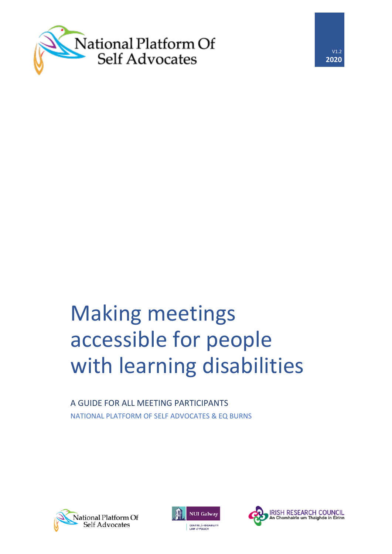



# Making meetings accessible for people with learning disabilities

A GUIDE FOR ALL MEETING PARTICIPANTS NATIONAL PLATFORM OF SELF ADVOCATES & EQ BURNS





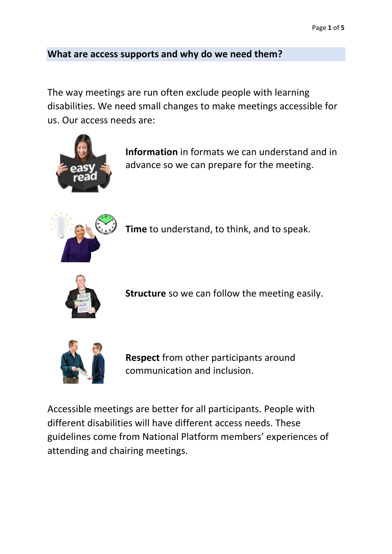#### **What are access supports and why do we need them?**

The way meetings are run often exclude people with learning disabilities. We need small changes to make meetings accessible for us. Our access needs are:



**Information** in formats we can understand and in advance so we can prepare for the meeting.



**Time** to understand, to think, and to speak.



**Structure** so we can follow the meeting easily.



**Respect** from other participants around communication and inclusion.

Accessible meetings are better for all participants. People with different disabilities will have different access needs. These guidelines come from National Platform members' experiences of attending and chairing meetings.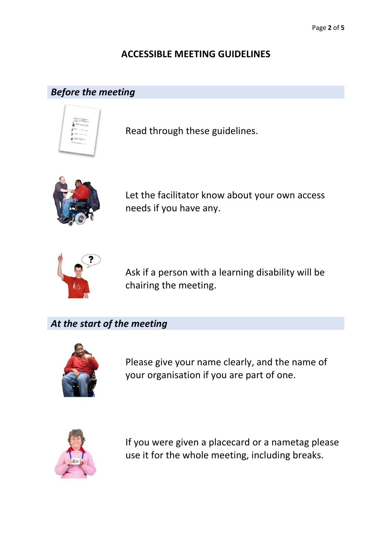## **ACCESSIBLE MEETING GUIDELINES**

## *Before the meeting*



Read through these guidelines.



Let the facilitator know about your own access needs if you have any.



Ask if a person with a learning disability will be chairing the meeting.

*At the start of the meeting*



Please give your name clearly, and the name of your organisation if you are part of one.



If you were given a placecard or a nametag please use it for the whole meeting, including breaks.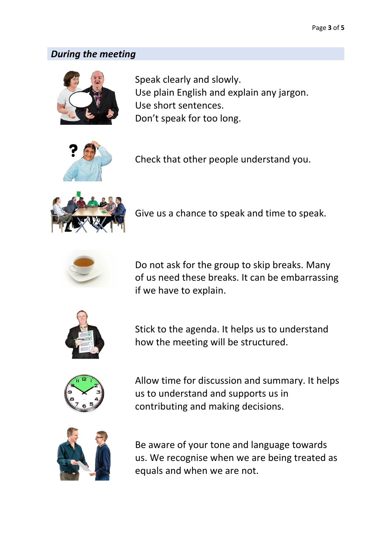#### *During the meeting*



Speak clearly and slowly. Use plain English and explain any jargon. Use short sentences. Don't speak for too long.



Check that other people understand you.



Give us a chance to speak and time to speak.



Do not ask for the group to skip breaks. Many of us need these breaks. It can be embarrassing if we have to explain.



Stick to the agenda. It helps us to understand how the meeting will be structured.



Allow time for discussion and summary. It helps us to understand and supports us in contributing and making decisions.



Be aware of your tone and language towards us. We recognise when we are being treated as equals and when we are not.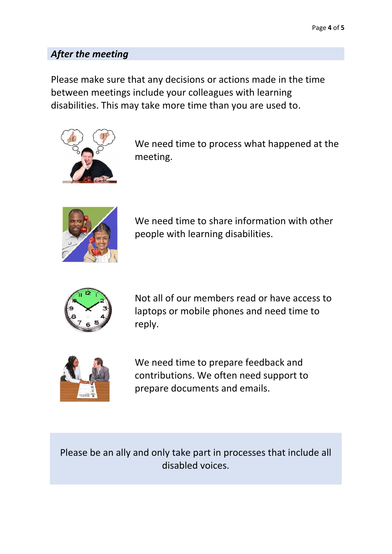## *After the meeting*

Please make sure that any decisions or actions made in the time between meetings include your colleagues with learning disabilities. This may take more time than you are used to.



We need time to process what happened at the meeting.



We need time to share information with other people with learning disabilities.



Not all of our members read or have access to laptops or mobile phones and need time to reply.



We need time to prepare feedback and contributions. We often need support to prepare documents and emails.

Please be an ally and only take part in processes that include all disabled voices.